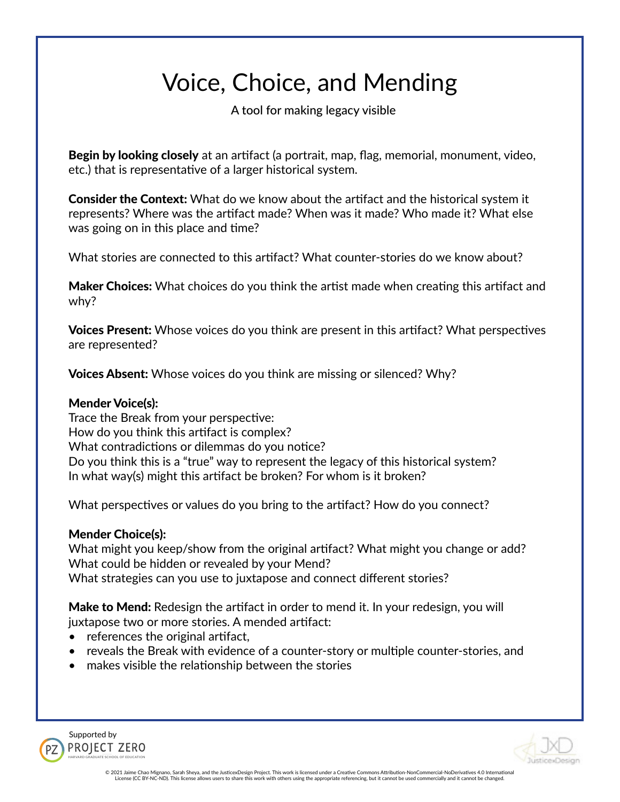# Voice, Choice, and Mending

A tool for making legacy visible

Begin by looking closely at an artifact (a portrait, map, flag, memorial, monument, video, etc.) that is representative of a larger historical system.

**Consider the Context:** What do we know about the artifact and the historical system it represents? Where was the artifact made? When was it made? Who made it? What else was going on in this place and time?

What stories are connected to this artifact? What counter-stories do we know about?

**Maker Choices:** What choices do you think the artist made when creating this artifact and why?

Voices Present: Whose voices do you think are present in this artifact? What perspectives are represented?

**Voices Absent:** Whose voices do you think are missing or silenced? Why?

#### Mender Voice(s):

Trace the Break from your perspective: How do you think this artifact is complex? What contradictions or dilemmas do you notice? Do you think this is a "true" way to represent the legacy of this historical system? In what way(s) might this artifact be broken? For whom is it broken?

What perspectives or values do you bring to the artifact? How do you connect?

#### Mender Choice(s):

What might you keep/show from the original artifact? What might you change or add? What could be hidden or revealed by your Mend? What strategies can you use to juxtapose and connect different stories?

Make to Mend: Redesign the artifact in order to mend it. In your redesign, you will juxtapose two or more stories. A mended artifact:

- references the original artifact,
- reveals the Break with evidence of a counter-story or multiple counter-stories, and
- makes visible the relationship between the stories





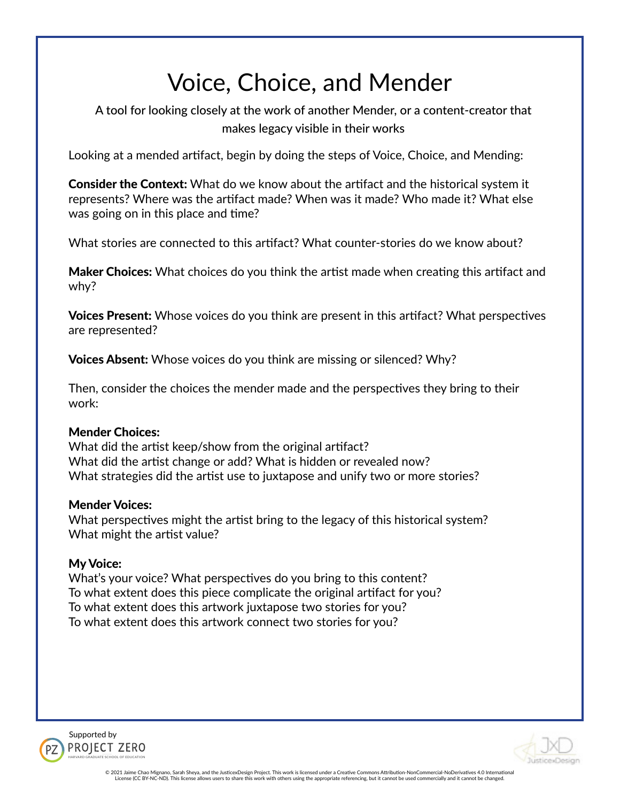# Voice, Choice, and Mender

A tool for looking closely at the work of another Mender, or a content-creator that makes legacy visible in their works

Looking at a mended artifact, begin by doing the steps of Voice, Choice, and Mending:

Consider the Context: What do we know about the artifact and the historical system it represents? Where was the artifact made? When was it made? Who made it? What else was going on in this place and time?

What stories are connected to this artifact? What counter-stories do we know about?

Maker Choices: What choices do you think the artist made when creating this artifact and why?

Voices Present: Whose voices do you think are present in this artifact? What perspectives are represented?

**Voices Absent:** Whose voices do you think are missing or silenced? Why?

Then, consider the choices the mender made and the perspectives they bring to their work:

# Mender Choices:

What did the artist keep/show from the original artifact? What did the artist change or add? What is hidden or revealed now? What strategies did the artist use to juxtapose and unify two or more stories?

# Mender Voices:

What perspectives might the artist bring to the legacy of this historical system? What might the artist value?

# My Voice:

What's your voice? What perspectives do you bring to this content? To what extent does this piece complicate the original artifact for you? To what extent does this artwork juxtapose two stories for you? To what extent does this artwork connect two stories for you?